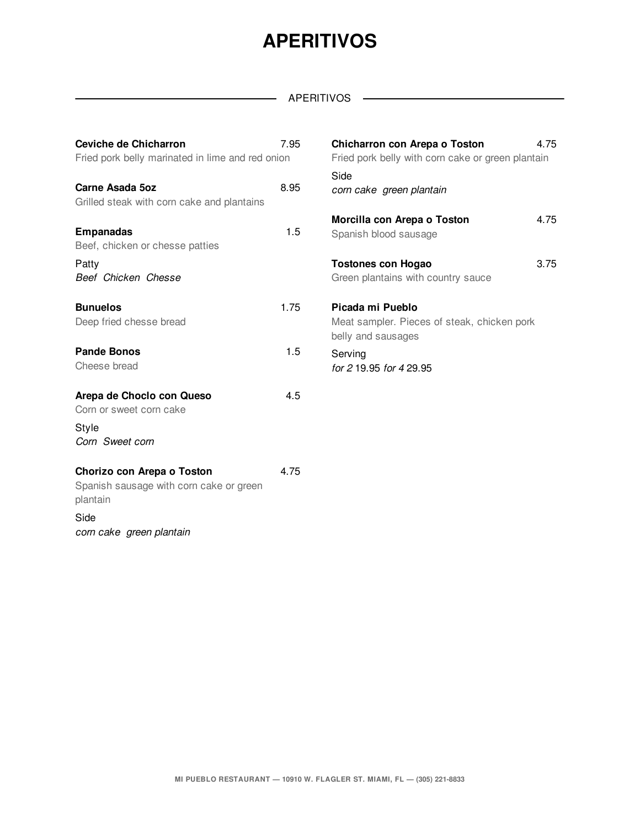### **APERITIVOS**

#### APERITIVOS ——————

| Ceviche de Chicharron<br>Fried pork belly marinated in lime and red onion                                             | 7.95 | Chicharron con Arepa o Toston<br>Fried pork belly with corn cake or green plantain    | 4.75 |
|-----------------------------------------------------------------------------------------------------------------------|------|---------------------------------------------------------------------------------------|------|
| Carne Asada 5oz<br>Grilled steak with corn cake and plantains                                                         | 8.95 | Side<br>corn cake green plantain                                                      |      |
| <b>Empanadas</b><br>Beef, chicken or chesse patties                                                                   | 1.5  | Morcilla con Arepa o Toston<br>Spanish blood sausage                                  | 4.75 |
| Patty<br>Beef Chicken Chesse                                                                                          |      | <b>Tostones con Hogao</b><br>Green plantains with country sauce                       | 3.75 |
| <b>Bunuelos</b><br>Deep fried chesse bread                                                                            | 1.75 | Picada mi Pueblo<br>Meat sampler. Pieces of steak, chicken pork<br>belly and sausages |      |
| <b>Pande Bonos</b><br>Cheese bread                                                                                    | 1.5  | Serving<br>for 2 19.95 for 4 29.95                                                    |      |
| Arepa de Choclo con Queso<br>Corn or sweet corn cake<br>Style<br>Corn Sweet corn                                      | 4.5  |                                                                                       |      |
| Chorizo con Arepa o Toston<br>Spanish sausage with corn cake or green<br>plantain<br>Side<br>corn cake green plantain | 4.75 |                                                                                       |      |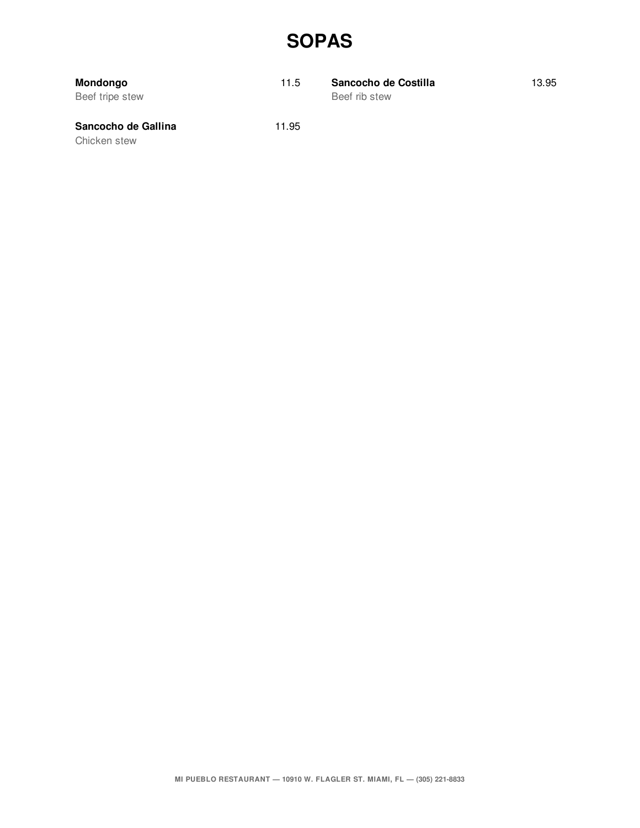#### **SOPAS**

| Mondongo<br>Beef tripe stew         | 11.5  | Sancocho de Costilla<br>Beef rib stew | 13.95 |
|-------------------------------------|-------|---------------------------------------|-------|
| Sancocho de Gallina<br>Chicken stew | 11.95 |                                       |       |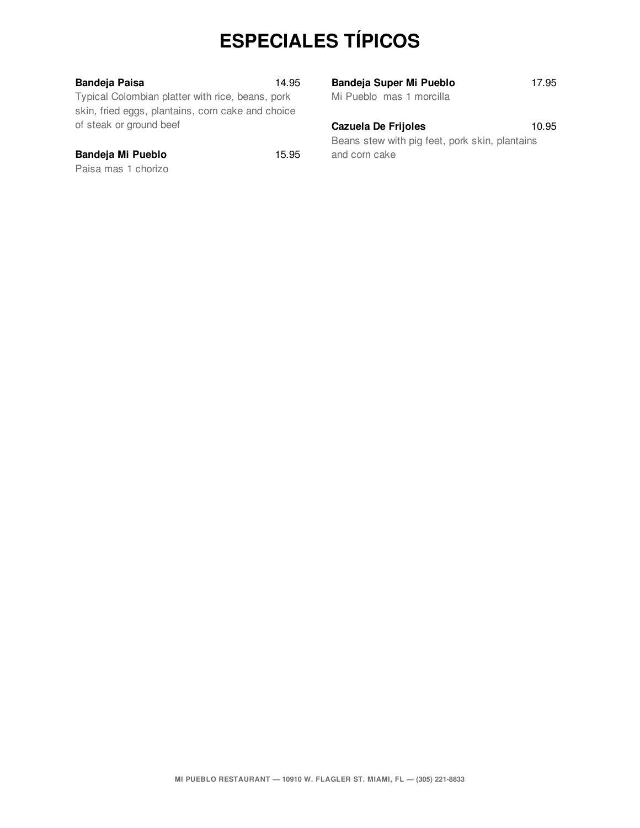# **ESPECIALES TÍPICOS**

| <b>Bandeja Paisa</b> |  |
|----------------------|--|
|                      |  |

Typical Colombian platter with rice, beans, pork skin, fried eggs, plantains, corn cake and choice of steak or ground beef

#### **Bandeja Mi Pueblo** 15.95

Paisa mas 1 chorizo

**Bandeja Paisa** 14.95

| <b>Bandeja Super Mi Pueblo</b> | 17.95 |
|--------------------------------|-------|
| Mi Pueblo mas 1 morcilla       |       |
|                                |       |

#### **Cazuela De Frijoles** 10.95

Beans stew with pig feet, pork skin, plantains and corn cake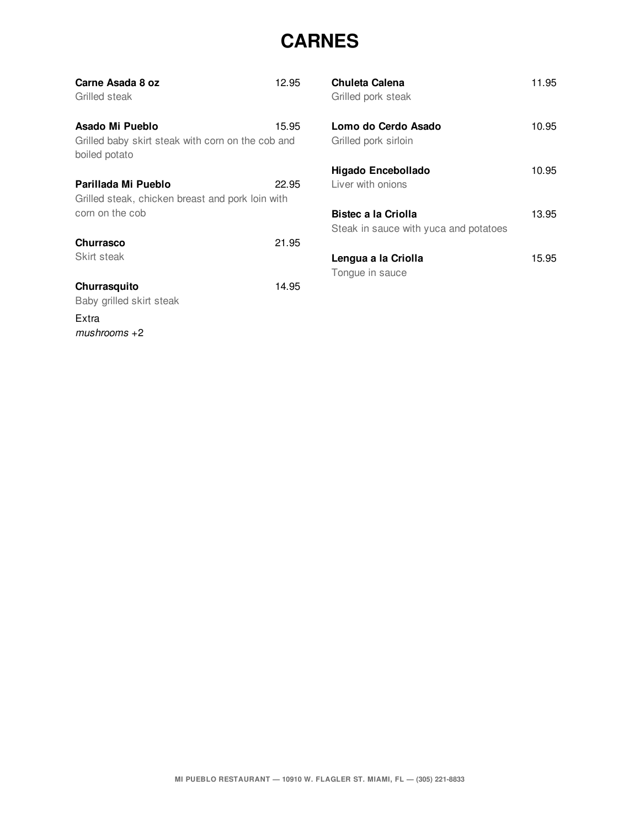#### **CARNES**

| Carne Asada 8 oz<br>Grilled steak                                                          | 12.95 |
|--------------------------------------------------------------------------------------------|-------|
| Asado Mi Pueblo<br>Grilled baby skirt steak with corn on the cob and<br>boiled potato      | 15.95 |
| Parillada Mi Pueblo<br>Grilled steak, chicken breast and pork loin with<br>corn on the cob | 22.95 |
| <b>Churrasco</b><br>Skirt steak                                                            | 21.95 |
| Churrasquito<br>Baby grilled skirt steak<br>Extra                                          | 14.95 |
| $mushrooms + 2$                                                                            |       |

| Chuleta Calena<br>Grilled pork steak                         | 11.95 |
|--------------------------------------------------------------|-------|
| Lomo do Cerdo Asado<br>Grilled pork sirloin                  | 10.95 |
| Higado Encebollado<br>Liver with onions                      | 10.95 |
| Bistec a la Criolla<br>Steak in sauce with yuca and potatoes | 13.95 |
| Lengua a la Criolla<br>Tonque in sauce                       | 15.95 |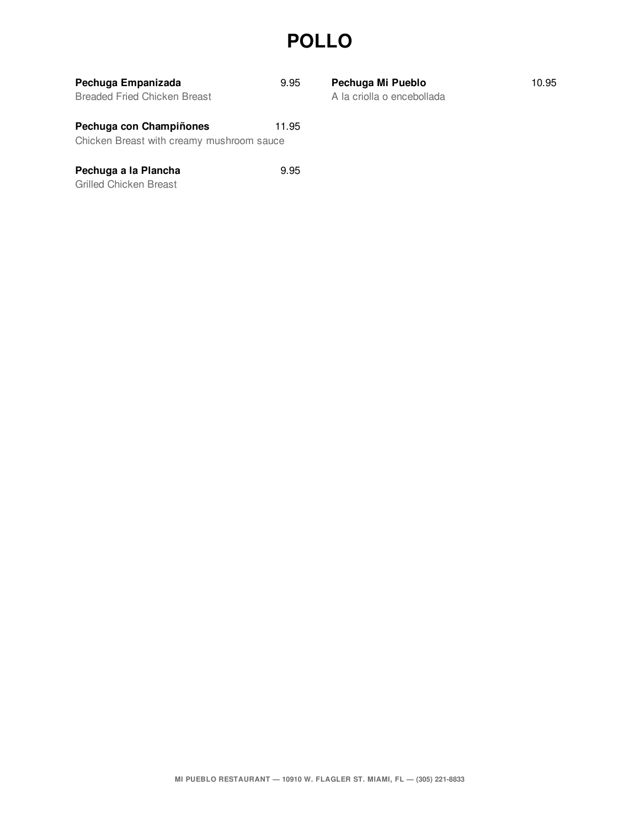### **POLLO**

| Pechuga Empanizada<br><b>Breaded Fried Chicken Breast</b>            | 9.95  |
|----------------------------------------------------------------------|-------|
| Pechuga con Champiñones<br>Chicken Breast with creamy mushroom sauce | 11.95 |
| Pechuga a la Plancha                                                 | 9.95  |

Grilled Chicken Breast

A la criolla o encebollada **Pechuga Mi Pueblo** 10.95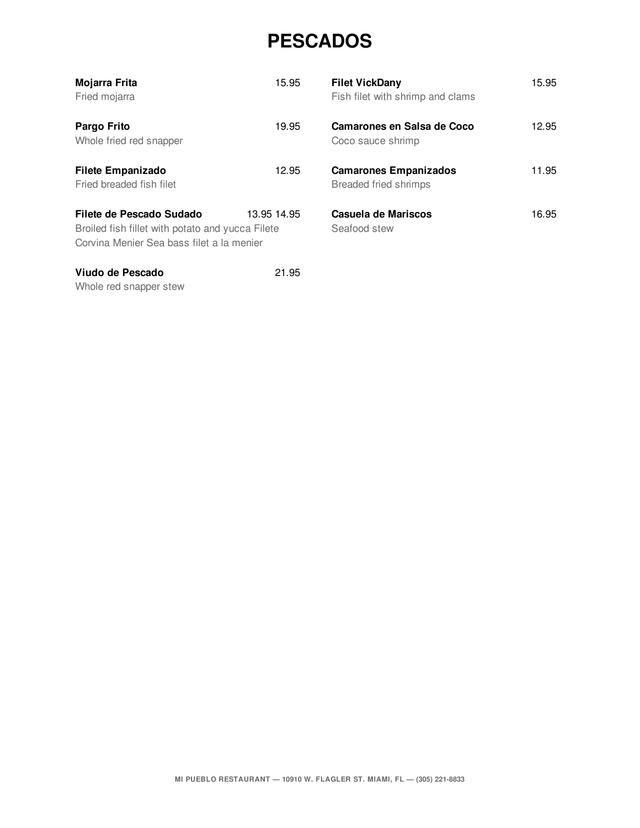#### **PESCADOS**

| Mojarra Frita<br>Fried mojarra                                                                                            | 15.95       | <b>Filet VickDany</b><br>Fish filet with shrimp and clams    | 15.95 |
|---------------------------------------------------------------------------------------------------------------------------|-------------|--------------------------------------------------------------|-------|
| Pargo Frito<br>Whole fried red snapper                                                                                    | 19.95       | Camarones en Salsa de Coco<br>Coco sauce shrimp              | 12.95 |
| <b>Filete Empanizado</b><br>Fried breaded fish filet                                                                      | 12.95       | <b>Camarones Empanizados</b><br><b>Breaded fried shrimps</b> | 11.95 |
| Filete de Pescado Sudado<br>Broiled fish fillet with potato and yucca Filete<br>Corvina Menier Sea bass filet a la menier | 13.95 14.95 | Casuela de Mariscos<br>Seafood stew                          | 16.95 |
| Viudo de Pescado                                                                                                          | 21.95       |                                                              |       |

Whole red snapper stew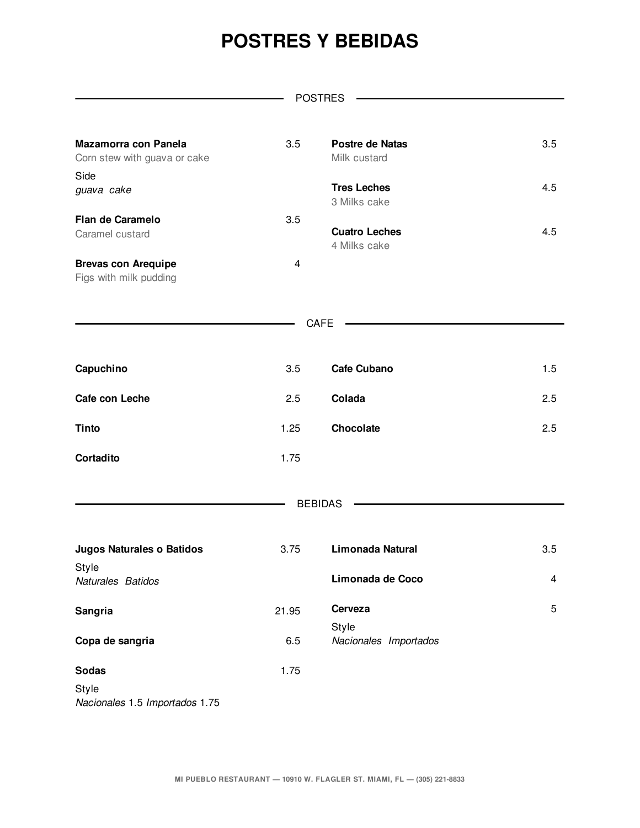### **POSTRES Y BEBIDAS**

|                                                      |       | <b>POSTRES</b>                         |     |
|------------------------------------------------------|-------|----------------------------------------|-----|
|                                                      |       |                                        |     |
| Mazamorra con Panela<br>Corn stew with guava or cake | 3.5   | <b>Postre de Natas</b><br>Milk custard | 3.5 |
| Side<br>guava cake                                   |       | <b>Tres Leches</b><br>3 Milks cake     | 4.5 |
| Flan de Caramelo<br>Caramel custard                  | 3.5   | <b>Cuatro Leches</b><br>4 Milks cake   | 4.5 |
| <b>Brevas con Arequipe</b><br>Figs with milk pudding | 4     |                                        |     |
|                                                      |       | CAFE                                   |     |
| Capuchino                                            | 3.5   | <b>Cafe Cubano</b>                     | 1.5 |
| Cafe con Leche                                       | 2.5   | Colada                                 | 2.5 |
| <b>Tinto</b>                                         | 1.25  | Chocolate                              | 2.5 |
| Cortadito                                            | 1.75  |                                        |     |
|                                                      |       | <b>BEBIDAS</b>                         |     |
| <b>Jugos Naturales o Batidos</b>                     | 3.75  | Limonada Natural                       | 3.5 |
| Style<br>Naturales Batidos                           |       | Limonada de Coco                       | 4   |
| <b>Sangria</b>                                       | 21.95 | Cerveza<br>Style                       | 5   |
| Copa de sangria                                      | 6.5   | Nacionales Importados                  |     |
| <b>Sodas</b><br>Style                                | 1.75  |                                        |     |

*Nacionales* 1.5 *Importados* 1.75